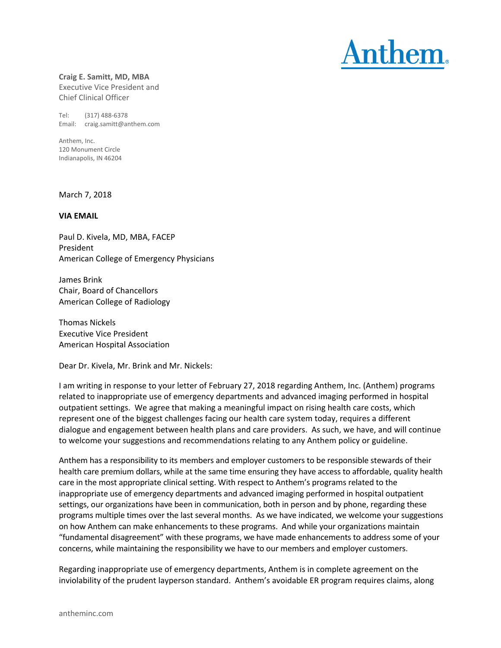

**Craig E. Samitt, MD, MBA** Executive Vice President and Chief Clinical Officer

Tel: (317) 488‐6378 Email: craig.samitt@anthem.com

Anthem, Inc. 120 Monument Circle Indianapolis, IN 46204

March 7, 2018

## **VIA EMAIL**

Paul D. Kivela, MD, MBA, FACEP President American College of Emergency Physicians

James Brink Chair, Board of Chancellors American College of Radiology

Thomas Nickels Executive Vice President American Hospital Association

Dear Dr. Kivela, Mr. Brink and Mr. Nickels:

I am writing in response to your letter of February 27, 2018 regarding Anthem, Inc. (Anthem) programs related to inappropriate use of emergency departments and advanced imaging performed in hospital outpatient settings. We agree that making a meaningful impact on rising health care costs, which represent one of the biggest challenges facing our health care system today, requires a different dialogue and engagement between health plans and care providers. As such, we have, and will continue to welcome your suggestions and recommendations relating to any Anthem policy or guideline.

Anthem has a responsibility to its members and employer customers to be responsible stewards of their health care premium dollars, while at the same time ensuring they have access to affordable, quality health care in the most appropriate clinical setting. With respect to Anthem's programs related to the inappropriate use of emergency departments and advanced imaging performed in hospital outpatient settings, our organizations have been in communication, both in person and by phone, regarding these programs multiple times over the last several months. As we have indicated, we welcome your suggestions on how Anthem can make enhancements to these programs. And while your organizations maintain "fundamental disagreement" with these programs, we have made enhancements to address some of your concerns, while maintaining the responsibility we have to our members and employer customers.

Regarding inappropriate use of emergency departments, Anthem is in complete agreement on the inviolability of the prudent layperson standard. Anthem's avoidable ER program requires claims, along